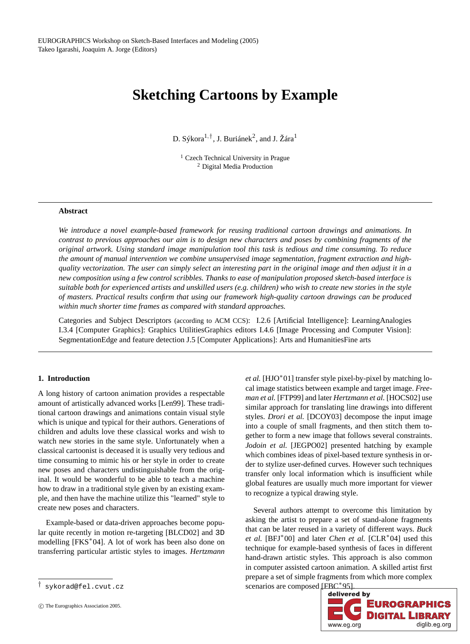# **Sketching Cartoons by Example**

D. Sýkora $^{1, \dagger}$ , J. Buriánek<sup>2</sup>, and J. Žára<sup>1</sup>

<sup>1</sup> Czech Technical University in Prague <sup>2</sup> Digital Media Production

# **Abstract**

*We introduce a novel example-based framework for reusing traditional cartoon drawings and animations. In contrast to previous approaches our aim is to design new characters and poses by combining fragments of the original artwork. Using standard image manipulation tool this task is tedious and time consuming. To reduce the amount of manual intervention we combine unsupervised image segmentation, fragment extraction and highquality vectorization. The user can simply select an interesting part in the original image and then adjust it in a new composition using a few control scribbles. Thanks to ease of manipulation proposed sketch-based interface is suitable both for experienced artists and unskilled users (e.g. children) who wish to create new stories in the style of masters. Practical results confirm that using our framework high-qua[lity](#page-6-2) [carto](#page-6-2)on drawings can be produced within much shorter time frames as compared with standard approaches.*

Categories and Subject Descriptors (according to ACM CCS): I.2.6 [Artificia[l Intellig](#page-6-3)ence]: LearningAnalogies I.3.4 [Computer Graphics]: Graphics [UtilitiesG](#page-6-0)raphics editors I.4.6 [Image Processing and Computer Vision]: SegmentationEdge and feature detection J.5 [Computer Applications]: Arts and Humani[tiesFine ar](#page-6-4)ts

## **1. Introduction**

A long history of cartoon animation provides a respectable amount of artistically advanced works [Len99]. These traditional cartoon drawings and animations contain visual style which is unique and typical for their authors. Generations of children and adults love these classical works and wish to watch new stories in the same style. Unfortunately when a classical cartoonist is deceased it is usually very tedious and time consuming to mimic his or her style in ord[er to create](#page-5-0) new poses and ch[aracters un](#page-6-1)distinguishable from the original. It would be wonderful to be able to teach a machine how to draw in a traditional style given by an existing example, and then have the machine utilize this "learned" style to create new poses and characters.

Example-based or data-driven approaches become popular quite recently in motion re-targeting [BLCD02] and 3D modelling [FKS<sup>∗</sup>04]. A lot of work has been also done on transferring particular artistic styles to images. *Hertzmann*

*et al.* [HJO<sup>\*</sup>01] transf[er](#page-6-5) [style](#page-6-5) [pixe](#page-6-5)l-by-pixel by matching local image statistics between example and target image. *Freeman et al.* [FTP99] and later *Hertzmann et al.* [HOCS02] use similar approach for translating line drawings into different styles. *Drori et al.* [DCOY03] decompose the input image into a couple of small fragments, and then stitch them together to form a new image that follows several constraints. *Jodoin et al.* [JEGPO02] presented hatching by example which combines ideas of pixel-based texture synthesis in order to stylize [user-defin](#page-5-1)ed curves. However suc[h techniqu](#page-6-6)es transfer only local information which is insufficient while global features are usually much more important for viewer to recognize a typical drawing style.

Several authors attempt to o[vercome](#page-6-7) this limitation by asking the artist to prepare a set of stand-alone fragments that can be later reused in a variety of different ways. *Buck et al.* [BFJ<sup>\*</sup>00] and later *Chen et al.* [CLR<sup>\*</sup>04] used this technique for example-based synthesis of faces in different hand-drawn artistic styles. This approach is also common in computer assisted cartoon animation. A skilled artist first prepare a set of simple fragments from which more complex scenarios are composed  $\begin{array}{|c|c|}\n\hline\n\text{fBC}^*951\n\end{array}$ 



<sup>†</sup> sykorad@fel.cvut.cz

c The Eurographics Association 2005.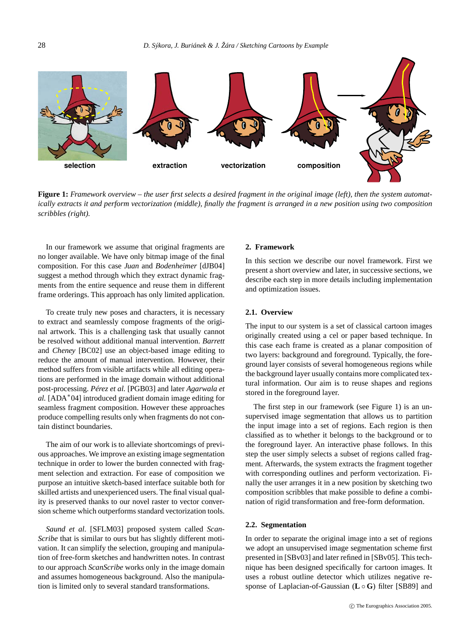<span id="page-1-0"></span>

**Figure 1:** *Framework overview – the user first selects a des[ired frag](#page-6-8)ment in the original image (left), then the system automatically extracts it and perform vectorization (middle), finally the fragment is arranged in a new position using two composition scribbles (right).*

In our framework we assume that original fragments are no longer available. We have only bitmap image of the final composition. For this case *Juan* and *Bodenheimer* [dJB04] suggest a method thr[ough w](#page-5-2)hich they extract dynamic fragments from the entire sequence and reuse them in different frame orderings. This approach has only limited application.

To create truly new poses and ch[aracters,](#page-6-9) it is necessary to extract [and seamle](#page-5-3)ssly compose fragments of the original artwork. This is a challenging task that usually cannot be resolved without additional manual intervention. *Barrett* and *Cheney* [BC02] use an object-based image editing to reduce the amount of manual intervention. However, their method suffers from visible artifacts while all editing operations are performed in the image domain without additional post-processing. *Pérez et al.* [PGB03] and later *Agarwala et al.* [ADA∗04] introduced gradient domain image editing for seamless fragment composition. However these approaches produce compelling results only when fragments do not contain distinct boundaries.

The aim of our work is to alleviate shortcomings of previous approaches. We impr[ove an exis](#page-6-10)ting image segmentation technique in order to lower the burden connected with fragment selection and extraction. For ease of composition we purpose an intuitive sketch-based interface suitable both for skilled artists and unexperienced users. The final visual quality is preserved thanks to our novel raster to vector conversion scheme which outperforms standard vectorization tools.

*Saund et al.* [SFLM03] proposed system called *Scan-Scribe* that is similar to ours but has slightly different motivation. It can simplify the selection, grouping and manipulation of free-form sketches and handwritten notes. In contrast to our approach *ScanScribe* works only in the image domain and assumes homogeneous background. Also the manipulation is limited only to several standard transformations.

## **2. Framework**

In this section we describe our novel framework. First we present a short overview and later, in successive sections, we describe each step in more details including implementation and optimization issues.

## **2.1. Overview**

The input to our system is a set of classical cartoon images originally created using a cel or paper based techniqu[e.](#page-1-0) In this case each frame is created as a planar composition of two layers: background and foreground. Typically, the foreground layer consists of several homogeneous regions while the background layer usually contains more complicated textural information. Our aim is to reuse shapes and regions stored in the foreground layer.

The first step in our framework (see Figure 1) is an unsupervised image segmentation that allows us to partition the input image into a set of regions. Each region is then classified as to whether it belongs to the background or to the foreground layer. An interactive phase follows. In this step the user simply selects a subset of regions called fragment. Afterwards, the system extracts the fragment together with corresponding outlines and perform vectorization. Finally the user arrang[es it in a](#page-6-11) new position by sk[etching t](#page-6-12)wo composition scribbles that make possible to define a combination of rigid transformation and free-form deformation.

### **2.2. Segmentation**

In order to separate the original image into a set of regions we adopt an unsupervised image segmentation scheme first presented in [SBv03] and later refined in [SBv05]. This technique has been designed specifically for cartoon images. It uses a robust outline detector which utilizes negative response of Laplacian-of-Gaussian (**L** ◦ **G**) filter [SB89] and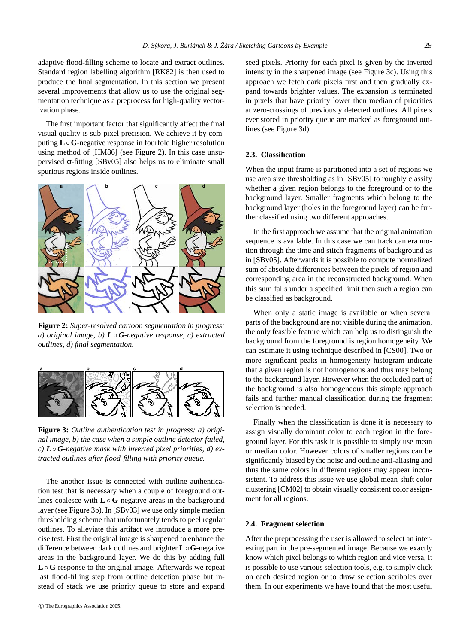adaptive flood-filling scheme to locate and extract outlines. Standard region labelling algorithm [RK82] is then used to produce the final segme[ntation.](#page-6-13) In this secti[on](#page-2-0) we present several improvements that [allow u](#page-6-12)s to use the original segmentation technique as a preprocess for high-quality vectorization phase.

The first important factor that significantly affect the final visual quality is sub-pixel precision. We achieve it by computing **L**◦**G**-negative response in fourfold higher resolution using method of [HM86] (see Figure 2). In this case unsupervised σ-fitting [SBv05] also helps us to eliminate small spurious regions inside outlines.

<span id="page-2-0"></span>

<span id="page-2-1"></span>**Figure 2:** *Super-resolved cartoon segmentation in progress: a) original image, b) L* ◦ *G-negative response, c) extracted outlines, d) final segmentation.*



**Figure 3:** *Outline authentication test in progress: a) original image, b) the case w[hen](#page-2-1) a si[mple out](#page-6-11)line detector failed,*  $c) L \circ G$ -negative mask with inverted pixel priorities, d) ex*tracted outlines after flood-filling with priority queue.*

The another issue is connected with outline authentication test that is necessary when a couple of foreground outlines coalesce with **L** ◦ **G**-negative areas in the background layer (see Figure 3b). In [SBv03] we use only simple median thresholding scheme that unfortunately tends to peel regular outlines. To alleviate this artifact we introduce a more precise test. First the original image is sharpened to enhance the difference between dark outlines and brighter **L**◦**G**-negative areas in the background layer. We do this by adding full **L**◦ **G** response to the original image. Afterwards we repeat last flood-filling step from outline detection phase but instead of stack we use priority queue to store and expand

c The Eurographics Association 2005.

seed pixels. Priority for [ea](#page-2-1)ch pixel is given by the inverted intensity in the sharpened image (see Figure 3c). Using this approach we fetch dark pixels first and then gradually expand towards brighter values. The expansion is terminated in pixels that have priority lower then median of priorities at zero-crossings of previously detected [outlines](#page-6-12). All pixels ever stored in priority queue are marked as foreground outlines (see Figure 3d).

## **2.3. Classification**

When the input frame is partitioned into a set of regions we use area size thresholding as in [SBv05] to roughly classify whether a [given re](#page-6-12)gion belongs to the foreground or to the background layer. Smaller fragments which belong to the background layer (holes in the foreground layer) can be further classified using two different approaches.

In the first approach we assume that the original animation sequence is available. In this case we can track camera motion through the time and stitch fragments of background as in [SBv05]. Afterwards it is possible to compute normalized sum of absolute differences between the pixels of region and corresponding area in the reconstructed background[. When](#page-6-14) this sum falls under a specified limit then such a region can be classified as background.

When only a static image is available or when several parts of the background are not visible during the animation, the only feasible feature which can help us to distinguish the background from the foreground is region homogeneity. We can estimate it using technique described in [CS00]. Two or more significant peaks in homogeneity histogram indicate that a given region is not homogenous and thus may belong to the background layer. However when the occluded part of the background is also homogeneous this simple approach fails and further manual classification during the fragment selection is needed.

Finally when th[e](#page-6-15) [classi](#page-6-15)fication is done it is necessary to assign visually dominant color to each region in the foreground layer. For this task it is possible to simply use mean or median color. However colors of smaller regions can be significantly biased by the noise and outline anti-aliasing and thus the same colors in different regions may appear inconsistent. To address this issue we use global mean-shift color clustering [CM02] to obtain visually consistent color assignment for all regions.

### **2.4. Fragment selection**

After the preprocessing the user is allowed to select an interesting part in the pre-segmented image. Because we exactly know which pixel belongs to which region and vice versa, it is possible to use various selection tools, e.g. to simply click on each desired region or to draw selection scribbles over them. In our experiments we have found that the most useful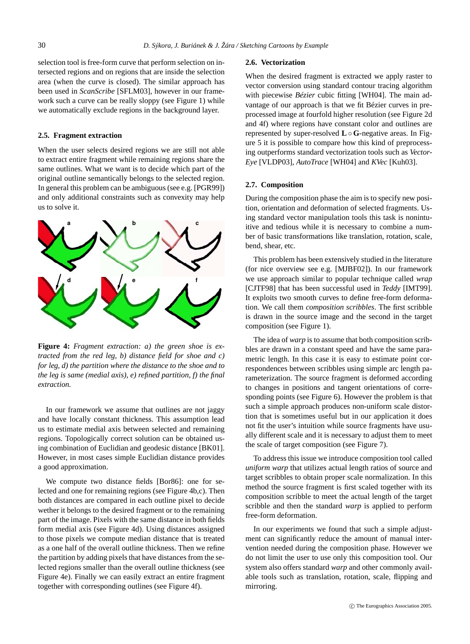selection tool is free-form curve that perform selection on intersected regions and on regions that are inside the selection area (when the curve is closed). The similar approach has been used in *ScanScribe* [SFLM03], however in our framework such a curve can be really sloppy (see Figure 1) while we automatically exclude regions in the background layer.

# **2.5. Fragment extraction**

When the user selects desired regions we are still not able to extract entire fragment while remaining regions share the same outlines. What we want is to decide which part of the original outline semantically belongs to the selected region. In general this problem can be ambiguous (see e.g. [PGR99]) and only additional constraints such as convexity may help us to solve it.

<span id="page-3-0"></span>

**Figure 4:** *Fragment extraction: a) the green shoe is extracted from the red leg, b) distance field for shoe and c) for leg, d) the partition where the distance to the shoe and to the leg is same (medial axis), e) refined partition, f) the final extraction.*

In our framework we assume that outlines [are not](#page-6-16) jaggy and have locally constant thickness. This assumption [lea](#page-3-0)d us to estimate medial axis between selected and remaining regions. Topologically correct solution can be obtained using combination of Euclidian and geodesic distance [BK01]. However, in most cases simple Eucli[dia](#page-3-0)n distance provides a good approximation.

We compute two distance fields [Bor86]: one for selected and one for remaining regions (see Figure 4b,c). Then both distances [ar](#page-3-0)e compared in each outline pixel to decide wether it belongs to the desired fragment or to the remai[nin](#page-3-0)g part of the image. Pixels with the same distance in both fields form medial axis (see Figure 4d). Using distances assigned to those pixels we compute median distance that is treated as a one half of the overall outline thickness. Then we refine the partition by adding pixels that have distances from the selected regions smaller than the overall outline thickness (see Figure 4e). Finally we can easily extract an entire fragment together with corresponding outlines (see Figure 4f).

#### **2.6. Vecto[riz](#page-4-0)ation**

When the desired fragment is extracted we apply raster to vector conve[rsion usin](#page-6-17)g standard c[ontour t](#page-6-18)racing algo[rithm](#page-6-19) with piecewise *Bézier* cubic fitting [WH04]. The main advantage of our approach is that we fit Bézier curves in preprocessed image at fourfold higher resolution (see Figure 2d and 4f) where regions have constant color and outlines are represented by super-resolved **L**◦ **G**-negative areas. In Figure 5 it is possible to compare how this kind of preprocessing outperforms standard vectorization tools such as *Vector-Eye* [VLDP03], *AutoTrace* [WH04] and *KVec* [Kuh03].

## **2.7. Composition**

During the composition phase the ai[m is to spec](#page-6-20)ify new position, orientation and deformation of selected fragments. Using stan[dard vect](#page-6-21)or manipulation tools this task is nonint[u](#page-6-22)itive and tedious while it is necessary to combine a number of basic transformations like translation, rotation, scale, bend, shear, etc.

This problem has been extens[ive](#page-1-0)ly studied in the literature (for nice overview see e.g. [MJBF02]). In our framework we use approach similar to popular technique called *wrap* [CJTF98] that has been successful used in *Teddy* [IMT99]. It exploits two smooth curves to define free-form deformation. We call them *composition scribbles*. The first scribble is drawn in the source image and [the](#page-4-1) second in the target composition (see Figure 1).

The idea of *warp* is to assume that both composition scribbles are drawn in a constant speed and have the same parametric length. In this case it is easy to estimate point correspondences between scribbles using simple arc l[en](#page-4-2)gth pa[r](#page-5-4)ameterization. The source fragment is deformed according to changes in positions and tangent orientations of corresponding points (see Figure 6). However the problem is that such a simple approach produces non-uniform scale distortion that is sometimes useful but in our application it does not fit the user's intuition while source fragments have usually different scale and it is necessary to adjust them to meet the scale of target composition (see Figure 7).

To address this issue we introduce composition tool called *uniform warp* that utilizes actual length ratios of source and target scribbles to obtain proper scale normalization. In this method the source fragment is first scaled together with its composition scribble to meet the actual length of the target scribble and then the standard *warp* is applied to perform free-form deformation.

In our experiments we found that such a simple adjustment can significantly reduce the amount of manual intervention needed during the composition phase. However we do not limit the user to use only this composition tool. Our system also offers standard *warp* and other commonly available tools such as translation, rotation, scale, flipping and mirroring.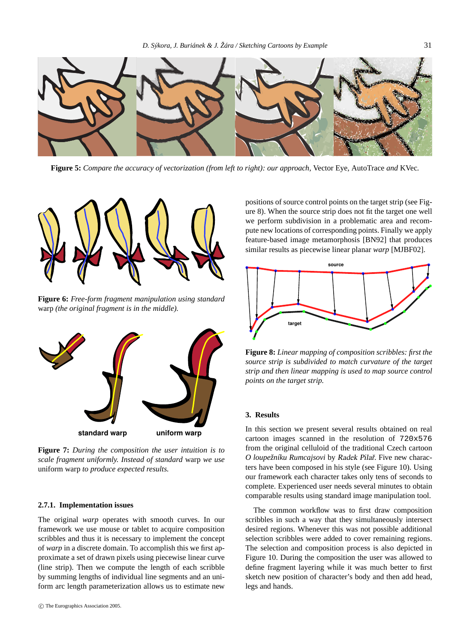<span id="page-4-0"></span>

**Figure 5:** *Compare the accuracy of vectorization (from left to right): our approach,* Vector Eye*,* AutoTrace *and* [KV](#page-5-5)ec*[.](#page-6-20)*

<span id="page-4-1"></span>

**Figure 6:** *Free-form fragment manipulation using standard* warp *(the original fragment is in the middle).*

<span id="page-4-2"></span>

**Figure 7:** *During the composition the user intuition is to scale fragment uniformly. Instead of standard* warp *we use* uniform warp *to produce expected results.*

## **2.7.1. Implementation issues**

The original *warp* operates with smooth curves. In our framework we use mouse or tablet to acquire composition scribbles and thus it is necessary to implement the concept of *warp* in a discrete domain. To accomplish this we first approximate a set of drawn pixels using piecewise linear curve (line strip). Then we compute the length of each scribble by summing lengths of individual line segments and an uniform arc length parameterization allows us to estimate new

positions of source control points on the target strip (see Figure 8). When the source strip does not fit the target one well we perform subdivision in a problematic area and recompute new locations of corresponding points. Finally we apply feature-based image metamorphosis [BN92] that produces similar results as piecewise linear planar *warp* [MJBF02].



**Figure 8:** *Linear mapping of composition scribbles: first the source strip is subdivided to match curvature of the target strip and then linear mapping is used to map source control points on the target strip.*

## **3. Results**

In this section we present several results obtained on real cartoon images scanned in the resolution of 720x576 from the original celluloid of the traditional Czech cartoon *O loupežníku Rumcajsovi* by Radek Pilarˇ. Five new characters have been composed in his style (see Figure 10). Using our framework each character takes only tens of seconds to complete. Experienced user needs several minutes to obtain comparable results using standard image manipulation tool.

The common workflow was to first draw composition scribbles in such a way that they simultaneously intersect desired regions. Whenever this was not possible additional selection scribbles were added to cover remaining regions. The selection and composition process is also depicted in Figure 10. During the composition the user was allowed to define fragment layering while it was much better to first sketch new position of character's body and then add head, legs and hands.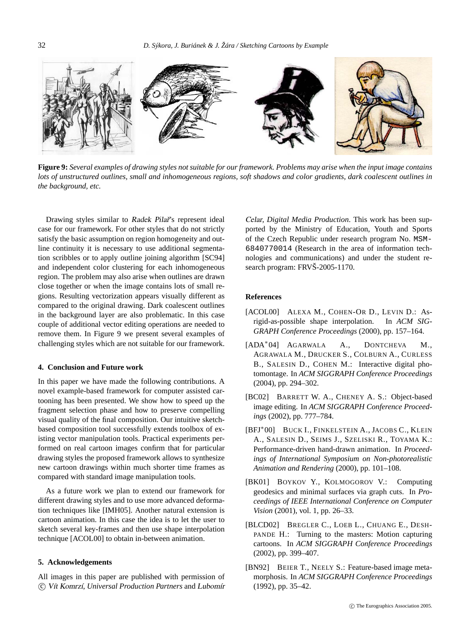<span id="page-5-6"></span>

**Figure 9:** *Several examples of drawing styles not suitable for our framework. Problems may arise when the input image contains lots of unstructured outlines, small and inhomogeneous regions, soft shadows and color gradients, dark coalescent outlines in the background, etc.*

Drawing styles similar to Radek Pilar<sup>'</sup>s represent ideal case for our framework. For other styles that do not strictly satisfy the basic assumption on region homogeneity and outline continuity it is necessary to use additional segmentation scribbles or to apply outlin[e j](#page-5-6)oining algorithm [SC94] and independent color clustering for each inhomogeneous region. The problem may also arise when outlines are drawn close together or when the image contains lots of small regions. Resulting vectorization appears visually different as compared to the original drawing. Dark coalescent outlines in the background layer are also problematic. In this case couple of additional vector editing operations are needed to remove them. In Figure 9 we present several examples of challenging styles which are not suitable for our framework.

## **4. Conclusion and Future work**

In this paper we have made the following contributions. A novel example-based framework for computer assisted cartooning has been presented. We show how to speed up the fragment selection phase and how to preserve compelling visual quality of the final composition. Our intuitive sketchbased composition tool successfully extends toolbox of existing vector manipulation t[ools. Prac](#page-6-23)tical experiments performed on real cartoon images confirm that for particular drawing styles the proposed framework allows to synthesize new cartoon draw[ings withi](#page-5-7)n much shorter time frames as compared with standard image manipulation tools.

As a future work we plan to extend our framework for different drawing styles and to use more advanced deformation techniques like [IMH05]. Another natural extension is cartoon animation. In this case the idea is to let the user to sketch several key-frames and then use shape interpolation technique [ACOL00] to obtain in-between animation.

### **5. Acknowledgements**

All images in this paper are published with permission of c Vít Komrzí, *Universal Production Partners* and Lubomír

<span id="page-5-7"></span>Celar, *Digital Media Production*. This work has been supported by the Ministry of Education, Youth and Sports of the Czech Republic under research program No. MSM-6840770014 (Research in the area of information technologies and communications) and under the student research program: FRVŠ-2005-1170.

## <span id="page-5-3"></span>**References**

- <span id="page-5-2"></span>[ACOL00] ALEXA M., COHEN-OR D., LEVIN D.: Asrigid-as-possible shape interpolation. In *ACM SIG-GRAPH Conference Proceedings* (2000), pp. 157–164.
- <span id="page-5-1"></span>[ADA∗04] AGARWALA A., DONTCHEVA M., AGRAWALA M., DRUCKER S., COLBURN A., CURLESS B., SALESIN D., COHEN M.: Interactive digital photomontage. In *ACM SIGGRAPH Conference Proceedings* (2004), pp. 294–302.
- <span id="page-5-4"></span>[BC02] BARRETT W. A., CHENEY A. S.: Object-based image editing. In *ACM SIGGRAPH Conference Proceedings* (2002), pp. 777–784.
- <span id="page-5-0"></span>[BFJ∗00] BUCK I., FINKELSTEIN A., JACOBS C., KLEIN A., SALESIN D., SEIMS J., SZELISKI R., TOYAMA K.: Performance-driven hand-drawn animation. In *Proceedings of International Symposium on Non-photorealistic Animation and Rendering* (2000), pp. 101–108.
- <span id="page-5-5"></span>[BK01] BOYKOV Y., KOLMOGOROV V.: Computing geodesics and minimal surfaces via graph cuts. In *Proceedings of IEEE International Conference on Computer Vision* (2001), vol. 1, pp. 26–33.
- [BLCD02] BREGLER C., LOEB L., CHUANG E., DESH-PANDE H.: Turning to the masters: Motion capturing cartoons. In *ACM SIGGRAPH Conference Proceedings* (2002), pp. 399–407.
- [BN92] BEIER T., NEELY S.: Feature-based image metamorphosis. In *ACM SIGGRAPH Conference Proceedings* (1992), pp. 35–42.